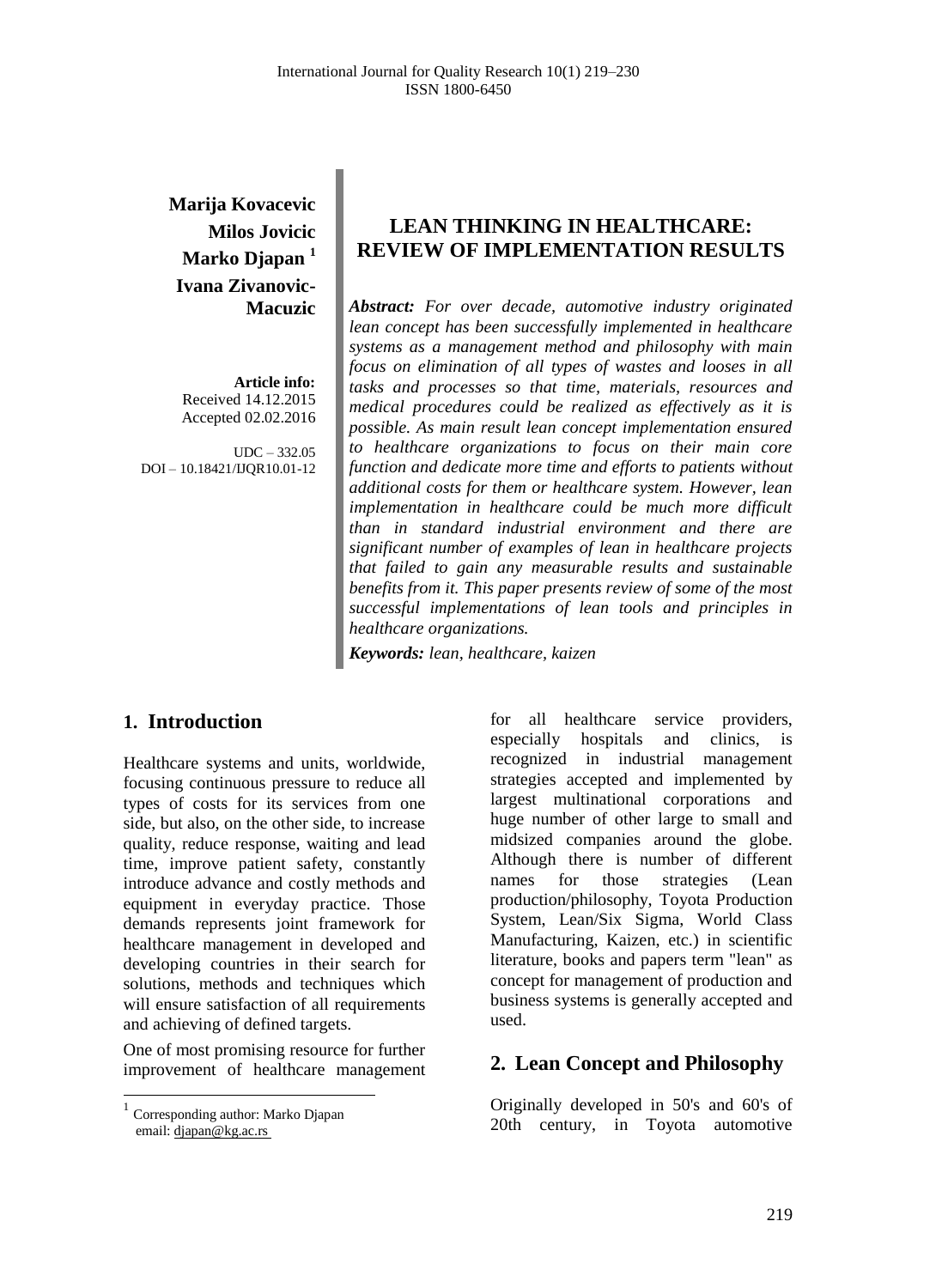**Marija Kovacevic Milos Jovicic Marko Djapan <sup>1</sup> Ivana Zivanovic-Macuzic**

**Article info:** Received 14.12.2015 Accepted 02.02.2016

UDC – 332.05 DOI – 10.18421/IJQR10.01-12

# **LEAN THINKING IN HEALTHCARE: REVIEW OF IMPLEMENTATION RESULTS**

*Abstract: For over decade, automotive industry originated lean concept has been successfully implemented in healthcare systems as a management method and philosophy with main focus on elimination of all types of wastes and looses in all tasks and processes so that time, materials, resources and medical procedures could be realized as effectively as it is possible. As main result lean concept implementation ensured to healthcare organizations to focus on their main core function and dedicate more time and efforts to patients without additional costs for them or healthcare system. However, lean implementation in healthcare could be much more difficult than in standard industrial environment and there are significant number of examples of lean in healthcare projects that failed to gain any measurable results and sustainable benefits from it. This paper presents review of some of the most successful implementations of lean tools and principles in healthcare organizations.*

*Keywords: lean, healthcare, kaizen*

#### **1. Introduction<sup>1</sup>**

Healthcare systems and units, worldwide, focusing continuous pressure to reduce all types of costs for its services from one side, but also, on the other side, to increase quality, reduce response, waiting and lead time, improve patient safety, constantly introduce advance and costly methods and equipment in everyday practice. Those demands represents joint framework for healthcare management in developed and developing countries in their search for solutions, methods and techniques which will ensure satisfaction of all requirements and achieving of defined targets.

One of most promising resource for further improvement of healthcare management

 $\overline{a}$ 

for all healthcare service providers, especially hospitals and clinics, is recognized in industrial management strategies accepted and implemented by largest multinational corporations and huge number of other large to small and midsized companies around the globe. Although there is number of different names for those strategies (Lean production/philosophy, Toyota Production System, Lean/Six Sigma, World Class Manufacturing, Kaizen, etc.) in scientific literature, books and papers term "lean" as concept for management of production and business systems is generally accepted and used.

#### **2. Lean Concept and Philosophy**

Originally developed in 50's and 60's of 20th century, in Toyota automotive

<sup>1</sup> Corresponding author: Marko Djapan email[: djapan@kg.ac.rs](mailto:birhanu.beshah@aait.edu.et)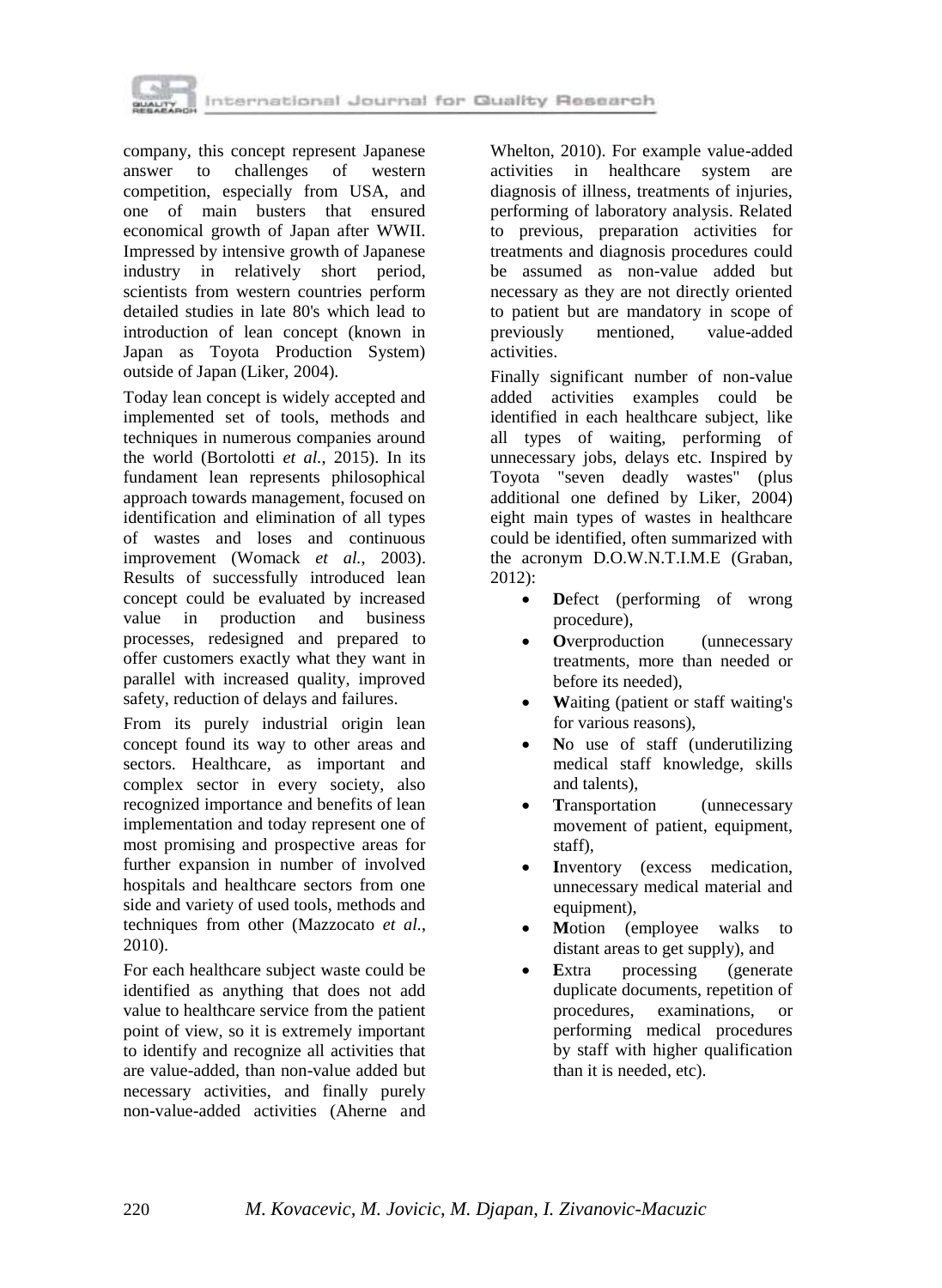

company, this concept represent Japanese answer to challenges of western competition, especially from USA, and one of main busters that ensured economical growth of Japan after WWII. Impressed by intensive growth of Japanese industry in relatively short period, scientists from western countries perform detailed studies in late 80's which lead to introduction of lean concept (known in Japan as Toyota Production System) outside of Japan (Liker, 2004).

Today lean concept is widely accepted and implemented set of tools, methods and techniques in numerous companies around the world (Bortolotti *et al.*, 2015). In its fundament lean represents philosophical approach towards management, focused on identification and elimination of all types of wastes and loses and continuous improvement (Womack *et al.,* 2003). Results of successfully introduced lean concept could be evaluated by increased value in production and business processes, redesigned and prepared to offer customers exactly what they want in parallel with increased quality, improved safety, reduction of delays and failures.

From its purely industrial origin lean concept found its way to other areas and sectors. Healthcare, as important and complex sector in every society, also recognized importance and benefits of lean implementation and today represent one of most promising and prospective areas for further expansion in number of involved hospitals and healthcare sectors from one side and variety of used tools, methods and techniques from other (Mazzocato *et al.*, 2010).

For each healthcare subject waste could be identified as anything that does not add value to healthcare service from the patient point of view, so it is extremely important to identify and recognize all activities that are value-added, than non-value added but necessary activities, and finally purely non-value-added activities (Aherne and Whelton, 2010). For example value-added activities in healthcare system are diagnosis of illness, treatments of injuries, performing of laboratory analysis. Related to previous, preparation activities for treatments and diagnosis procedures could be assumed as non-value added but necessary as they are not directly oriented to patient but are mandatory in scope of previously mentioned, value-added activities.

Finally significant number of non-value added activities examples could be identified in each healthcare subject, like all types of waiting, performing of unnecessary jobs, delays etc. Inspired by Toyota "seven deadly wastes" (plus additional one defined by Liker, 2004) eight main types of wastes in healthcare could be identified, often summarized with the acronym D.O.W.N.T.I.M.E (Graban, 2012):

- **Defect** (performing of wrong procedure),
- **O**verproduction (unnecessary treatments, more than needed or before its needed),
- **W**aiting (patient or staff waiting's for various reasons),
- **N**o use of staff (underutilizing medical staff knowledge, skills and talents),
- Transportation (unnecessary movement of patient, equipment, staff),
- **I**nventory (excess medication, unnecessary medical material and equipment),
- **M**otion (employee walks to distant areas to get supply), and
- **E**xtra processing (generate duplicate documents, repetition of procedures, examinations, or performing medical procedures by staff with higher qualification than it is needed, etc).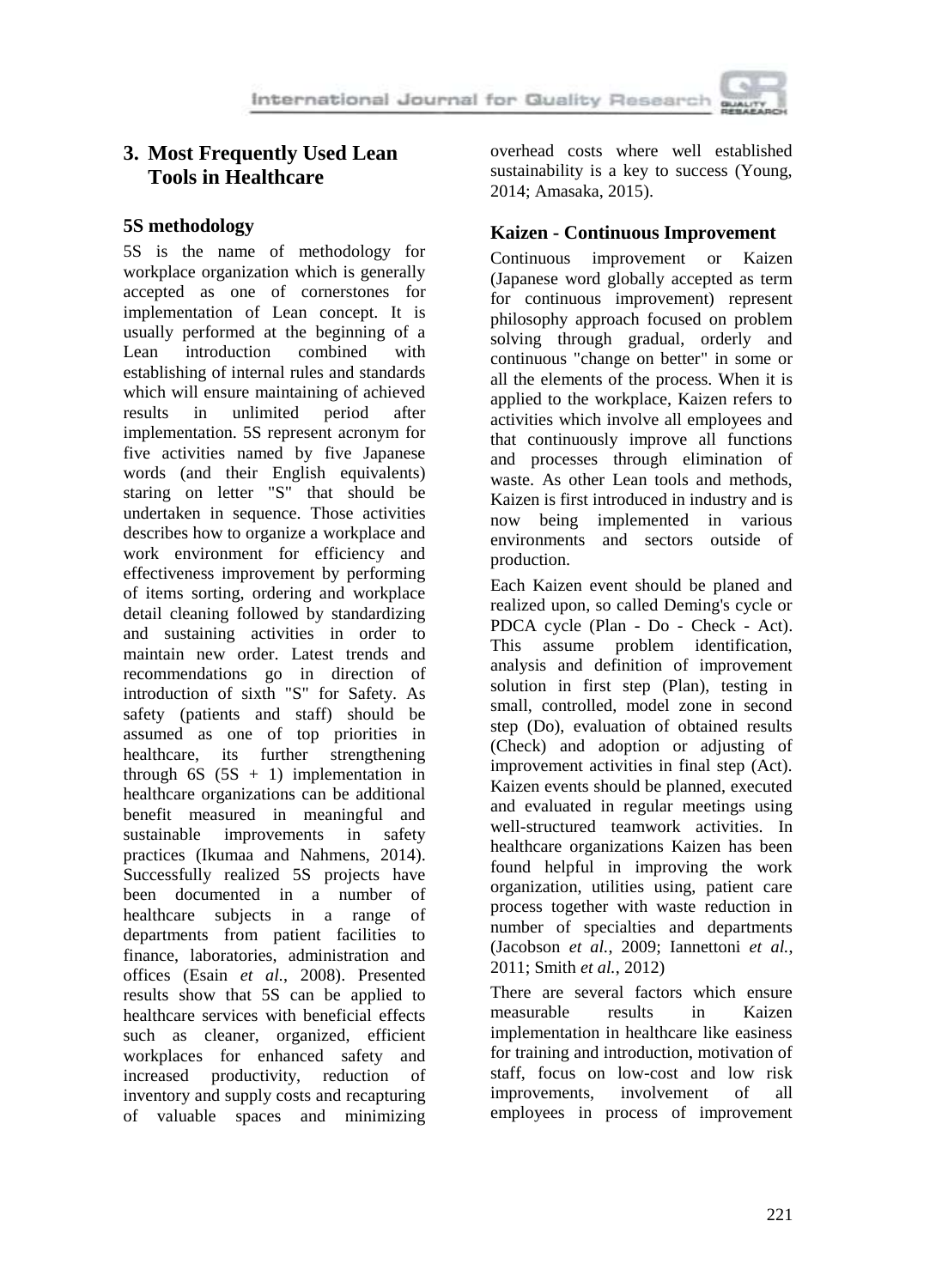

# **3. Most Frequently Used Lean Tools in Healthcare**

#### **5S methodology**

5S is the name of methodology for workplace organization which is generally accepted as one of cornerstones for implementation of Lean concept. It is usually performed at the beginning of a<br>Lean introduction combined with Lean introduction combined with establishing of internal rules and standards which will ensure maintaining of achieved<br>results in unlimited period after results in unlimited period after implementation. 5S represent acronym for five activities named by five Japanese words (and their English equivalents) staring on letter "S" that should be undertaken in sequence. Those activities describes how to organize a workplace and work environment for efficiency and effectiveness improvement by performing of items sorting, ordering and workplace detail cleaning followed by standardizing and sustaining activities in order to maintain new order. Latest trends and recommendations go in direction of introduction of sixth "S" for Safety. As safety (patients and staff) should be assumed as one of top priorities in healthcare, its further strengthening through  $6S$   $(5S + 1)$  implementation in healthcare organizations can be additional benefit measured in meaningful and sustainable improvements in safety practices (Ikumaa and Nahmens, 2014). Successfully realized 5S projects have been documented in a number of healthcare subjects in a range of departments from patient facilities to finance, laboratories, administration and offices (Esain *et al.*, 2008). Presented results show that 5S can be applied to healthcare services with beneficial effects such as cleaner, organized, efficient workplaces for enhanced safety and increased productivity, reduction of inventory and supply costs and recapturing of valuable spaces and minimizing overhead costs where well established sustainability is a key to success (Young, 2014; Amasaka, 2015).

# **Kaizen - Continuous Improvement**

Continuous improvement or Kaizen (Japanese word globally accepted as term for continuous improvement) represent philosophy approach focused on problem solving through gradual, orderly and continuous "change on better" in some or all the elements of the process. When it is applied to the workplace, Kaizen refers to activities which involve all employees and that continuously improve all functions and processes through elimination of waste. As other Lean tools and methods, Kaizen is first introduced in industry and is now being implemented in various environments and sectors outside of production.

Each Kaizen event should be planed and realized upon, so called Deming's cycle or PDCA cycle (Plan - Do - Check - Act). This assume problem identification, analysis and definition of improvement solution in first step (Plan), testing in small, controlled, model zone in second step (Do), evaluation of obtained results (Check) and adoption or adjusting of improvement activities in final step (Act). Kaizen events should be planned, executed and evaluated in regular meetings using well-structured teamwork activities. In healthcare organizations Kaizen has been found helpful in improving the work organization, utilities using, patient care process together with waste reduction in number of specialties and departments (Jacobson *et al.*, 2009; Iannettoni *et al.*, 2011; Smith *et al.*, 2012)

There are several factors which ensure measurable results in Kaizen implementation in healthcare like easiness for training and introduction, motivation of staff, focus on low-cost and low risk improvements, involvement of all employees in process of improvement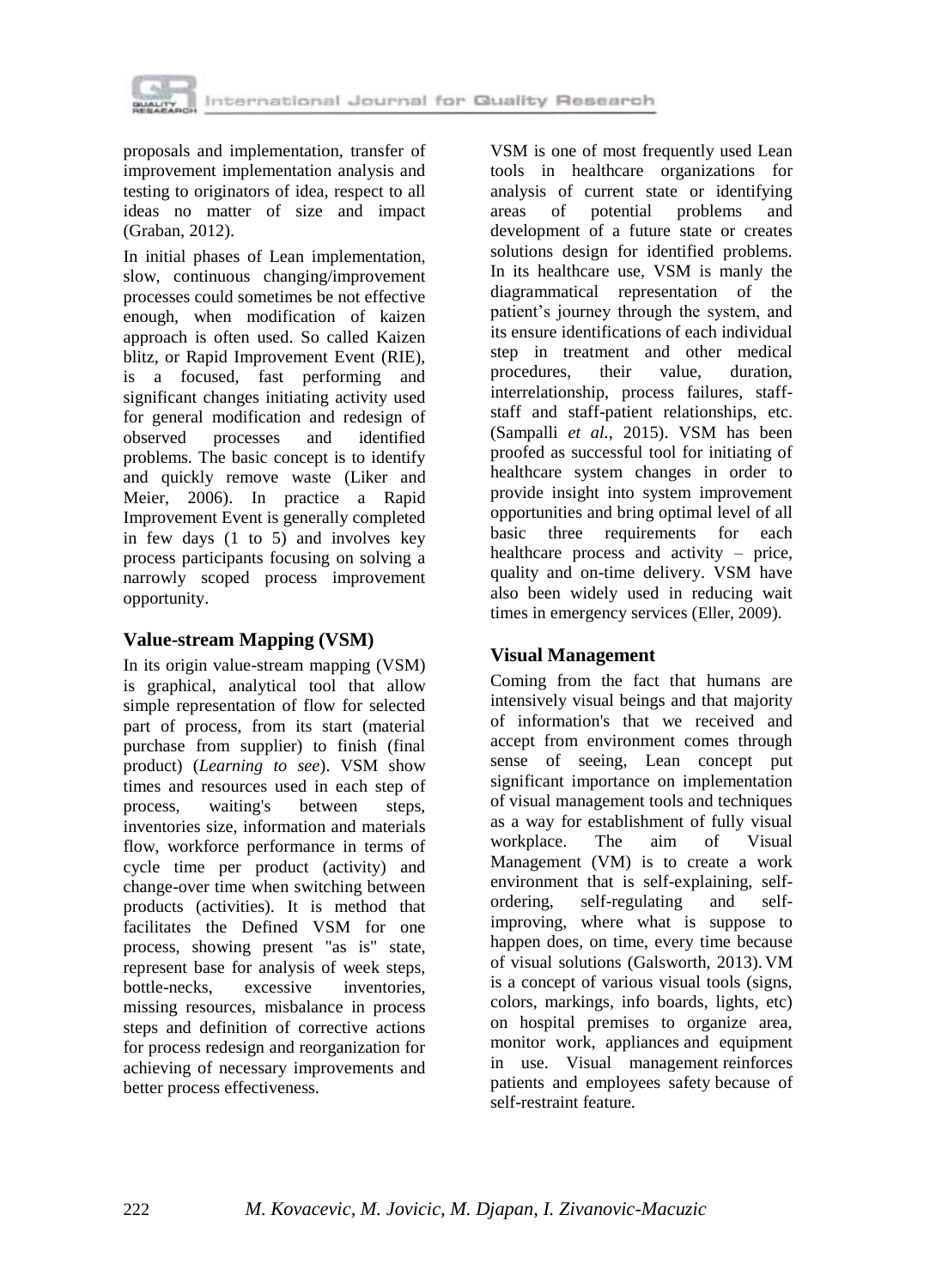

proposals and implementation, transfer of improvement implementation analysis and testing to originators of idea, respect to all ideas no matter of size and impact (Graban, 2012).

In initial phases of Lean implementation, slow, continuous changing/improvement processes could sometimes be not effective enough, when modification of kaizen approach is often used. So called Kaizen blitz, or Rapid Improvement Event (RIE), is a focused, fast performing and significant changes initiating activity used for general modification and redesign of observed processes and identified problems. The basic concept is to identify and quickly remove waste (Liker and Meier, 2006). In practice a Rapid Improvement Event is generally completed in few days (1 to 5) and involves key process participants focusing on solving a narrowly scoped process improvement opportunity.

#### **Value-stream Mapping (VSM)**

In its origin value-stream mapping (VSM) is graphical, analytical tool that allow simple representation of flow for selected part of process, from its start (material purchase from supplier) to finish (final product) (*Learning to see*). VSM show times and resources used in each step of process, waiting's between steps, inventories size, information and materials flow, workforce performance in terms of cycle time per product (activity) and change-over time when switching between products (activities). It is method that facilitates the Defined VSM for one process, showing present "as is" state, represent base for analysis of week steps, bottle-necks, excessive inventories, missing resources, misbalance in process steps and definition of corrective actions for process redesign and reorganization for achieving of necessary improvements and better process effectiveness.

VSM is one of most frequently used Lean tools in healthcare organizations for analysis of current state or identifying areas of potential problems and development of a future state or creates solutions design for identified problems. In its healthcare use, VSM is manly the diagrammatical representation of the patient's journey through the system, and its ensure identifications of each individual step in treatment and other medical procedures, their value, duration, interrelationship, process failures, staffstaff and staff-patient relationships, etc. (Sampalli *et al.*, 2015). VSM has been proofed as successful tool for initiating of healthcare system changes in order to provide insight into system improvement opportunities and bring optimal level of all basic three requirements for each healthcare process and activity – price, quality and on-time delivery. VSM have also been widely used in reducing wait times in emergency services (Eller, 2009).

# **Visual Management**

Coming from the fact that humans are intensively visual beings and that majority of information's that we received and accept from environment comes through sense of seeing, Lean concept put significant importance on implementation of visual management tools and techniques as a way for establishment of fully visual workplace. The aim of Visual Management (VM) is to create a work environment that is self-explaining, selfordering, self-regulating and selfimproving, where what is suppose to happen does, on time, every time because of visual solutions (Galsworth, 2013). VM is a concept of various visual tools (signs, colors, markings, info boards, lights, etc) on hospital premises to organize area, monitor work, appliances and equipment in use. Visual management reinforces patients and employees safety because of self-restraint feature*.*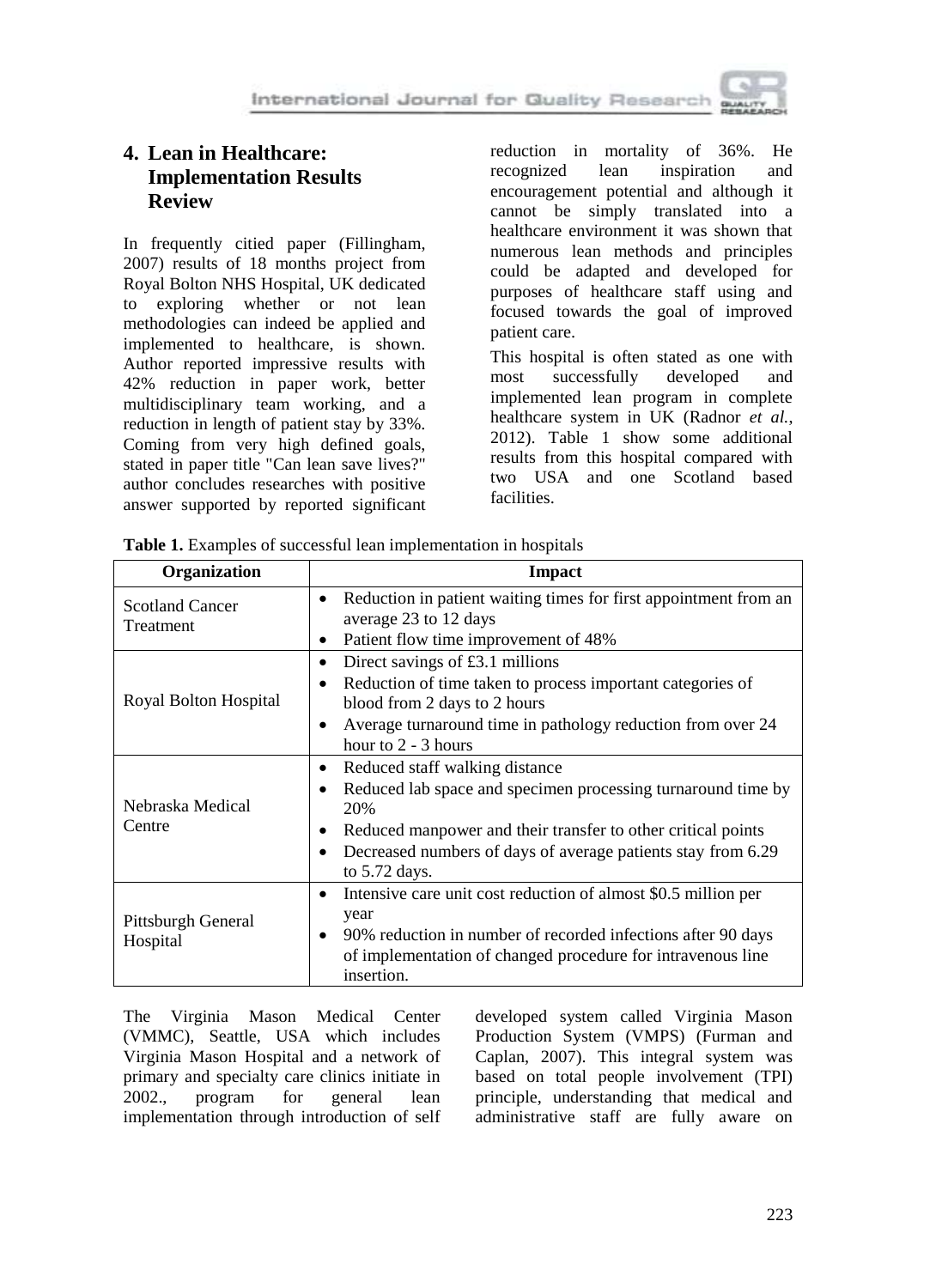

# **4. Lean in Healthcare: Implementation Results Review**

In frequently citied paper (Fillingham, 2007) results of 18 months project from Royal Bolton NHS Hospital, UK dedicated to exploring whether or not lean methodologies can indeed be applied and implemented to healthcare, is shown. Author reported impressive results with 42% reduction in paper work, better multidisciplinary team working, and a reduction in length of patient stay by 33%. Coming from very high defined goals, stated in paper title "Can lean save lives?" author concludes researches with positive answer supported by reported significant reduction in mortality of 36%. He recognized lean inspiration and encouragement potential and although it cannot be simply translated into a healthcare environment it was shown that numerous lean methods and principles could be adapted and developed for purposes of healthcare staff using and focused towards the goal of improved patient care.

This hospital is often stated as one with most successfully developed and implemented lean program in complete healthcare system in UK (Radnor *et al.*, 2012). Table 1 show some additional results from this hospital compared with two USA and one Scotland based facilities.

| Organization                        | Impact                                                                                                                                    |
|-------------------------------------|-------------------------------------------------------------------------------------------------------------------------------------------|
| <b>Scotland Cancer</b><br>Treatment | Reduction in patient waiting times for first appointment from an<br>$\bullet$<br>average 23 to 12 days                                    |
|                                     | Patient flow time improvement of 48%<br>$\bullet$                                                                                         |
| Royal Bolton Hospital               | Direct savings of £3.1 millions                                                                                                           |
|                                     | Reduction of time taken to process important categories of                                                                                |
|                                     | blood from 2 days to 2 hours                                                                                                              |
|                                     | Average turnaround time in pathology reduction from over 24<br>hour to $2 - 3$ hours                                                      |
| Nebraska Medical<br>Centre          | Reduced staff walking distance<br>$\bullet$                                                                                               |
|                                     | Reduced lab space and specimen processing turnaround time by<br>20%                                                                       |
|                                     | Reduced manpower and their transfer to other critical points                                                                              |
|                                     | Decreased numbers of days of average patients stay from 6.29<br>to $5.72$ days.                                                           |
| Pittsburgh General<br>Hospital      | Intensive care unit cost reduction of almost \$0.5 million per<br>$\bullet$                                                               |
|                                     | year                                                                                                                                      |
|                                     | 90% reduction in number of recorded infections after 90 days<br>of implementation of changed procedure for intravenous line<br>insertion. |

**Table 1.** Examples of successful lean implementation in hospitals

The Virginia Mason Medical Center (VMMC), Seattle, USA which includes Virginia Mason Hospital and a network of primary and specialty care clinics initiate in 2002., program for general lean implementation through introduction of self developed system called Virginia Mason Production System (VMPS) (Furman and Caplan, 2007). This integral system was based on total people involvement (TPI) principle, understanding that medical and administrative staff are fully aware on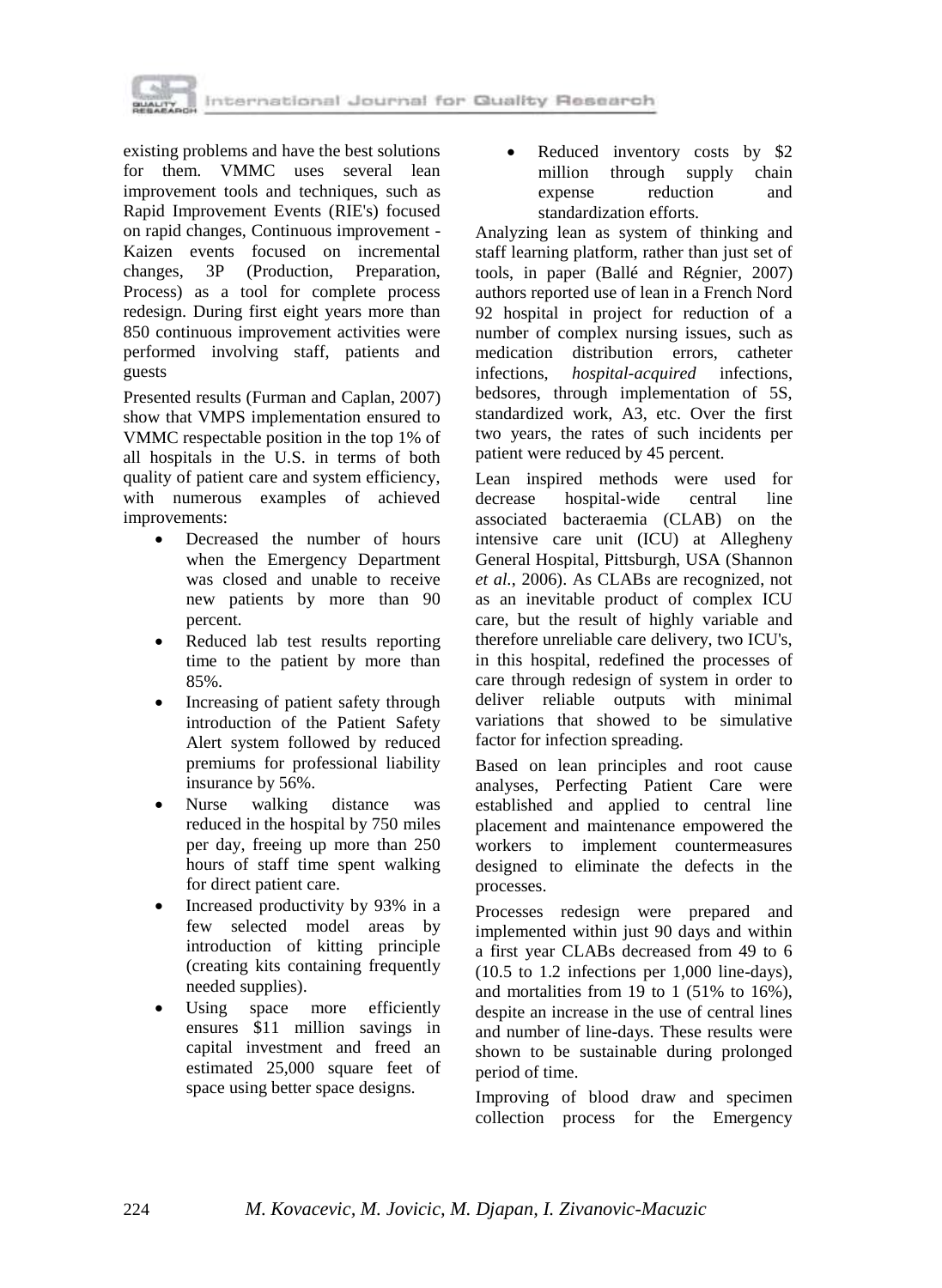

existing problems and have the best solutions for them. VMMC uses several lean improvement tools and techniques, such as Rapid Improvement Events (RIE's) focused on rapid changes, Continuous improvement - Kaizen events focused on incremental changes, 3P (Production, Preparation, Process) as a tool for complete process redesign. During first eight years more than 850 continuous improvement activities were performed involving staff, patients and guests

Presented results (Furman and Caplan, 2007) show that VMPS implementation ensured to VMMC respectable position in the top 1% of all hospitals in the U.S. in terms of both quality of patient care and system efficiency, with numerous examples of achieved improvements:

- Decreased the number of hours when the Emergency Department was closed and unable to receive new patients by more than 90 percent.
- Reduced lab test results reporting time to the patient by more than 85%.
- Increasing of patient safety through introduction of the Patient Safety Alert system followed by reduced premiums for professional liability insurance by 56%.
- Nurse walking distance was reduced in the hospital by 750 miles per day, freeing up more than 250 hours of staff time spent walking for direct patient care.
- Increased productivity by 93% in a few selected model areas by introduction of kitting principle (creating kits containing frequently needed supplies).
- Using space more efficiently ensures \$11 million savings in capital investment and freed an estimated 25,000 square feet of space using better space designs.

• Reduced inventory costs by \$2 million through supply chain expense reduction and standardization efforts.

Analyzing lean as system of thinking and staff learning platform, rather than just set of tools, in paper (Ballé and Régnier, 2007) authors reported use of lean in a French Nord 92 hospital in project for reduction of a number of complex nursing issues, such as medication distribution errors, catheter infections, *hospital-acquired* infections, bedsores, through implementation of 5S, standardized work, A3, etc. Over the first two years, the rates of such incidents per patient were reduced by 45 percent.

Lean inspired methods were used for decrease hospital-wide central line associated bacteraemia (CLAB) on the intensive care unit (ICU) at Allegheny General Hospital, Pittsburgh, USA (Shannon *et al.*, 2006). As CLABs are recognized, not as an inevitable product of complex ICU care, but the result of highly variable and therefore unreliable care delivery, two ICU's, in this hospital, redefined the processes of care through redesign of system in order to deliver reliable outputs with minimal variations that showed to be simulative factor for infection spreading.

Based on lean principles and root cause analyses, Perfecting Patient Care were established and applied to central line placement and maintenance empowered the workers to implement countermeasures designed to eliminate the defects in the processes.

Processes redesign were prepared and implemented within just 90 days and within a first year CLABs decreased from 49 to 6 (10.5 to 1.2 infections per 1,000 line-days), and mortalities from 19 to 1 (51% to 16%), despite an increase in the use of central lines and number of line-days. These results were shown to be sustainable during prolonged period of time.

Improving of blood draw and specimen collection process for the Emergency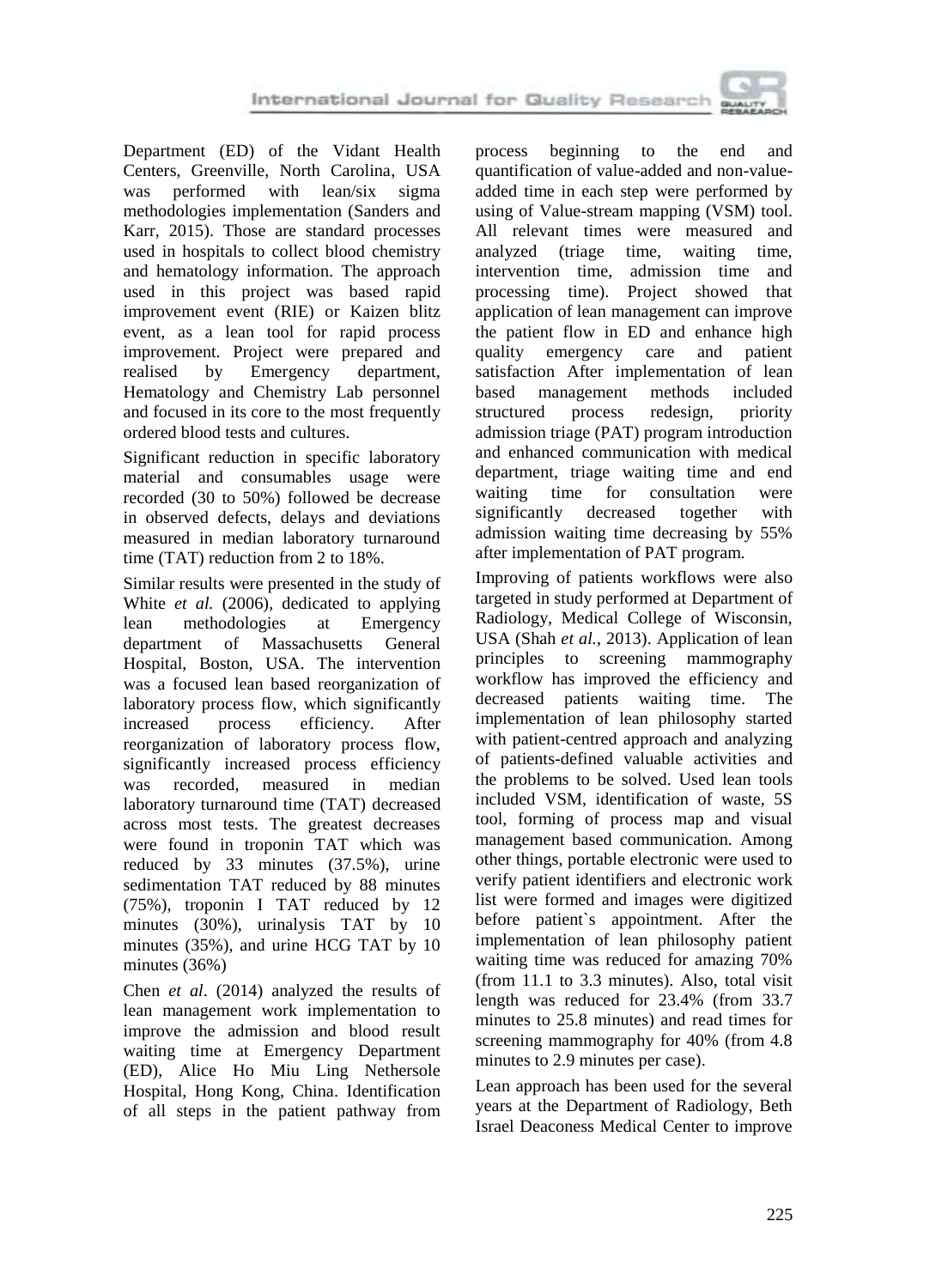

Department (ED) of the Vidant Health Centers, Greenville, North Carolina, USA was performed with lean/six sigma methodologies implementation (Sanders and Karr, 2015). Those are standard processes used in hospitals to collect blood chemistry and hematology information. The approach used in this project was based rapid improvement event (RIE) or Kaizen blitz event, as a lean tool for rapid process improvement. Project were prepared and realised by Emergency department, Hematology and Chemistry Lab personnel and focused in its core to the most frequently ordered blood tests and cultures.

Significant reduction in specific laboratory material and consumables usage were recorded (30 to 50%) followed be decrease in observed defects, delays and deviations measured in median laboratory turnaround time (TAT) reduction from 2 to 18%.

Similar results were presented in the study of White *et al.* (2006), dedicated to applying lean methodologies at Emergency department of Massachusetts General Hospital, Boston, USA. The intervention was a focused lean based reorganization of laboratory process flow, which significantly increased process efficiency. After reorganization of laboratory process flow, significantly increased process efficiency was recorded, measured in median laboratory turnaround time (TAT) decreased across most tests. The greatest decreases were found in troponin TAT which was reduced by 33 minutes (37.5%), urine sedimentation TAT reduced by 88 minutes (75%), troponin I TAT reduced by 12 minutes (30%), urinalysis TAT by 10 minutes (35%), and urine HCG TAT by 10 minutes (36%)

Chen *et al*. (2014) analyzed the results of lean management work implementation to improve the admission and blood result waiting time at Emergency Department (ED), Alice Ho Miu Ling Nethersole Hospital, Hong Kong, China. Identification of all steps in the patient pathway from process beginning to the end and quantification of value-added and non-valueadded time in each step were performed by using of Value-stream mapping (VSM) tool. All relevant times were measured and analyzed (triage time, waiting time, intervention time, admission time and processing time). Project showed that application of lean management can improve the patient flow in ED and enhance high quality emergency care and patient satisfaction After implementation of lean based management methods included structured process redesign, priority admission triage (PAT) program introduction and enhanced communication with medical department, triage waiting time and end waiting time for consultation were significantly decreased together with admission waiting time decreasing by 55% after implementation of PAT program.

Improving of patients workflows were also targeted in study performed at Department of Radiology, Medical College of Wisconsin, USA (Shah *et al.*, 2013). Application of lean principles to screening mammography workflow has improved the efficiency and decreased patients waiting time. The implementation of lean philosophy started with patient-centred approach and analyzing of patients-defined valuable activities and the problems to be solved. Used lean tools included VSM, identification of waste, 5S tool, forming of process map and visual management based communication. Among other things, portable electronic were used to verify patient identifiers and electronic work list were formed and images were digitized before patient`s appointment. After the implementation of lean philosophy patient waiting time was reduced for amazing 70% (from 11.1 to 3.3 minutes). Also, total visit length was reduced for 23.4% (from 33.7 minutes to 25.8 minutes) and read times for screening mammography for 40% (from 4.8 minutes to 2.9 minutes per case).

Lean approach has been used for the several years at the Department of Radiology, Beth Israel Deaconess Medical Center to improve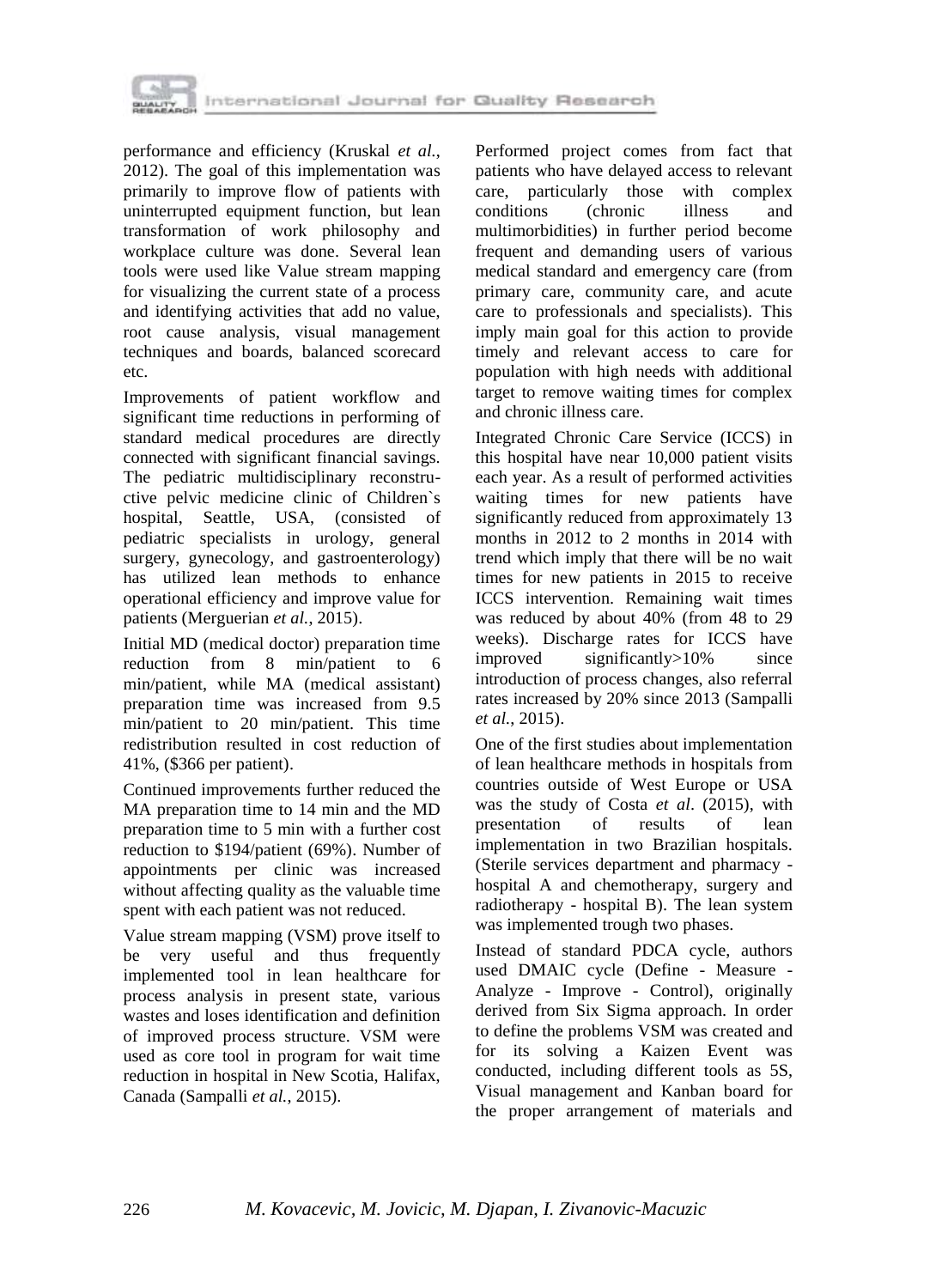

performance and efficiency (Kruskal *et al.*, 2012). The goal of this implementation was primarily to improve flow of patients with uninterrupted equipment function, but lean transformation of work philosophy and workplace culture was done. Several lean tools were used like Value stream mapping for visualizing the current state of a process and identifying activities that add no value, root cause analysis, visual management techniques and boards, balanced scorecard etc.

Improvements of patient workflow and significant time reductions in performing of standard medical procedures are directly connected with significant financial savings. The pediatric multidisciplinary reconstructive pelvic medicine clinic of Children`s hospital, Seattle, USA, (consisted of pediatric specialists in urology, general surgery, gynecology, and gastroenterology) has utilized lean methods to enhance operational efficiency and improve value for patients (Merguerian *et al.*, 2015).

Initial MD (medical doctor) preparation time reduction from 8 min/patient to 6 min/patient, while MA (medical assistant) preparation time was increased from 9.5 min/patient to 20 min/patient. This time redistribution resulted in cost reduction of 41%, (\$366 per patient).

Continued improvements further reduced the MA preparation time to 14 min and the MD preparation time to 5 min with a further cost reduction to \$194/patient (69%). Number of appointments per clinic was increased without affecting quality as the valuable time spent with each patient was not reduced.

Value stream mapping (VSM) prove itself to be very useful and thus frequently implemented tool in lean healthcare for process analysis in present state, various wastes and loses identification and definition of improved process structure. VSM were used as core tool in program for wait time reduction in hospital in New Scotia, Halifax, Canada (Sampalli *et al.*, 2015).

Performed project comes from fact that patients who have delayed access to relevant care, particularly those with complex conditions (chronic illness and multimorbidities) in further period become frequent and demanding users of various medical standard and emergency care (from primary care, community care, and acute care to professionals and specialists). This imply main goal for this action to provide timely and relevant access to care for population with high needs with additional target to remove waiting times for complex and chronic illness care.

Integrated Chronic Care Service (ICCS) in this hospital have near 10,000 patient visits each year. As a result of performed activities waiting times for new patients have significantly reduced from approximately 13 months in 2012 to 2 months in 2014 with trend which imply that there will be no wait times for new patients in 2015 to receive ICCS intervention. Remaining wait times was reduced by about 40% (from 48 to 29 weeks). Discharge rates for ICCS have improved significantly>10% since introduction of process changes, also referral rates increased by 20% since 2013 (Sampalli *et al.*, 2015).

One of the first studies about implementation of lean healthcare methods in hospitals from countries outside of West Europe or USA was the study of Costa *et al*. (2015), with presentation of results of lean implementation in two Brazilian hospitals. (Sterile services department and pharmacy hospital A and chemotherapy, surgery and radiotherapy - hospital B). The lean system was implemented trough two phases.

Instead of standard PDCA cycle, authors used DMAIC cycle (Define - Measure - Analyze - Improve - Control), originally derived from Six Sigma approach. In order to define the problems VSM was created and for its solving a Kaizen Event was conducted, including different tools as 5S, Visual management and Kanban board for the proper arrangement of materials and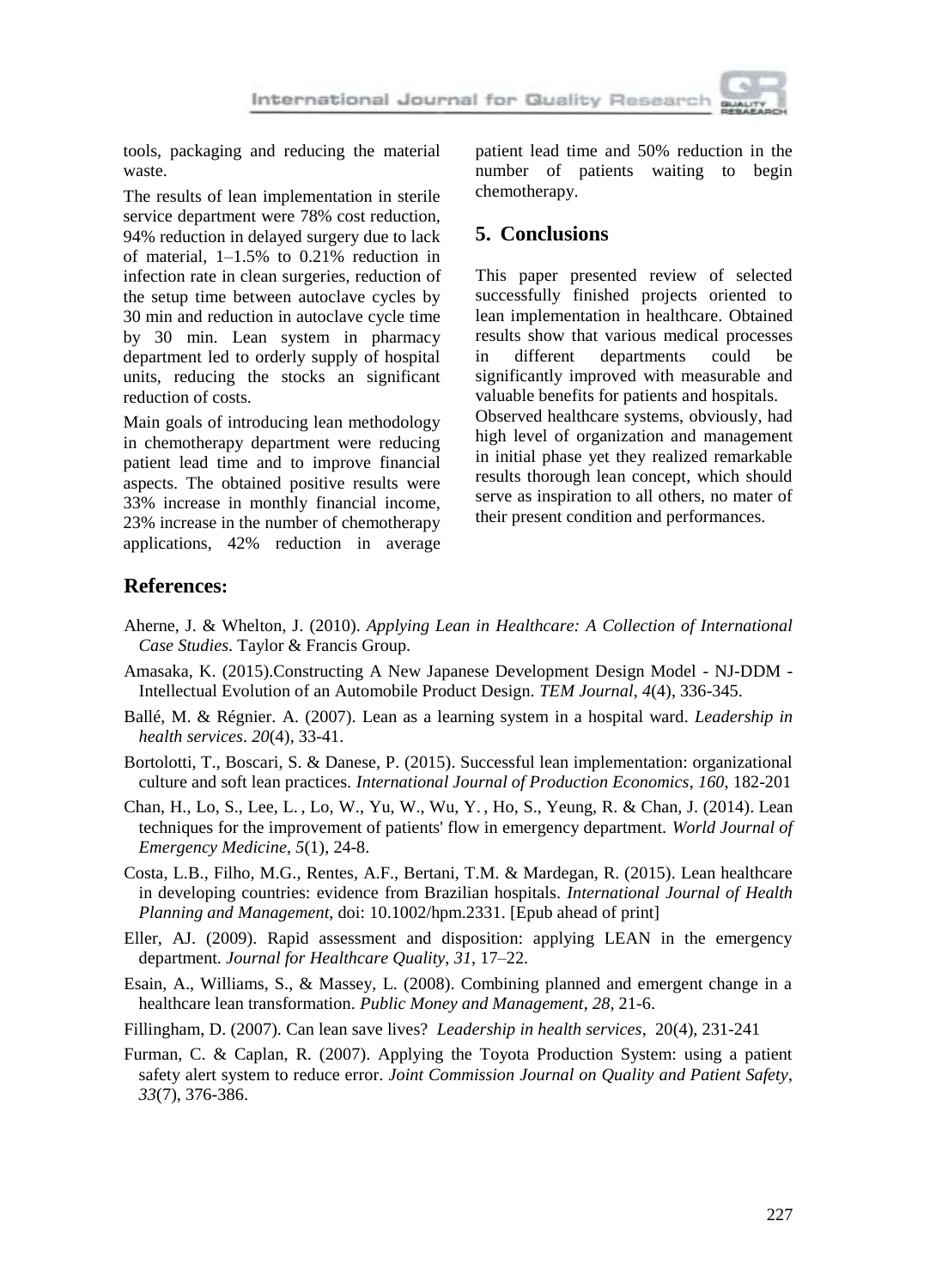

tools, packaging and reducing the material waste.

The results of lean implementation in sterile service department were 78% cost reduction, 94% reduction in delayed surgery due to lack of material, 1–1.5% to 0.21% reduction in infection rate in clean surgeries, reduction of the setup time between autoclave cycles by 30 min and reduction in autoclave cycle time by 30 min. Lean system in pharmacy department led to orderly supply of hospital units, reducing the stocks an significant reduction of costs.

Main goals of introducing lean methodology in chemotherapy department were reducing patient lead time and to improve financial aspects. The obtained positive results were 33% increase in monthly financial income, 23% increase in the number of chemotherapy applications, 42% reduction in average patient lead time and 50% reduction in the number of patients waiting to begin chemotherapy.

# **5. Conclusions**

This paper presented review of selected successfully finished projects oriented to lean implementation in healthcare. Obtained results show that various medical processes in different departments could be significantly improved with measurable and valuable benefits for patients and hospitals. Observed healthcare systems, obviously, had high level of organization and management in initial phase yet they realized remarkable results thorough lean concept, which should serve as inspiration to all others, no mater of their present condition and performances.

#### **References:**

- Aherne, J. & Whelton, J. (2010). *Applying Lean in Healthcare: A Collection of International Case Studies*. Taylor & Francis Group.
- Amasaka, K. (2015).Constructing A New Japanese Development Design Model NJ-DDM Intellectual Evolution of an Automobile Product Design. *TEM Journal*, *4*(4), 336-345.
- Ballé, M. & Régnier. A. (2007). Lean as a learning system in a hospital ward. *Leadership in health services*. *20*(4), 33-41.
- Bortolotti, T., Boscari, S. & Danese, P. (2015). Successful lean implementation: organizational culture and soft lean practices. *International Journal of Production Economics*, *160*, 182-201
- [Chan,](http://www.ncbi.nlm.nih.gov/pubmed/?term=Chan%20H%5BAuthor%5D&cauthor=true&cauthor_uid=25215143) H., [Lo,](http://www.ncbi.nlm.nih.gov/pubmed/?term=Lo%20S%5BAuthor%5D&cauthor=true&cauthor_uid=25215143) S., [Lee,](http://www.ncbi.nlm.nih.gov/pubmed/?term=Lee%20L%5BAuthor%5D&cauthor=true&cauthor_uid=25215143) L. , [Lo,](http://www.ncbi.nlm.nih.gov/pubmed/?term=Lo%20W%5BAuthor%5D&cauthor=true&cauthor_uid=25215143) W., [Yu,](http://www.ncbi.nlm.nih.gov/pubmed/?term=Yu%20W%5BAuthor%5D&cauthor=true&cauthor_uid=25215143) W., [Wu,](http://www.ncbi.nlm.nih.gov/pubmed/?term=Wu%20Y%5BAuthor%5D&cauthor=true&cauthor_uid=25215143) Y. , [Ho,](http://www.ncbi.nlm.nih.gov/pubmed/?term=Ho%20S%5BAuthor%5D&cauthor=true&cauthor_uid=25215143) S., [Yeung,](http://www.ncbi.nlm.nih.gov/pubmed/?term=Yeung%20R%5BAuthor%5D&cauthor=true&cauthor_uid=25215143) R. & [Chan,](http://www.ncbi.nlm.nih.gov/pubmed/?term=Chan%20J%5BAuthor%5D&cauthor=true&cauthor_uid=25215143) J. (2014). Lean techniques for the improvement of patients' flow in emergency department. *World Journal of Emergency Medicine*, *5*(1), 24-8.
- Costa, L.B., Filho, M.G., Rentes, A.F., Bertani, T.M. & Mardegan, R. (2015). Lean healthcare in developing countries: evidence from Brazilian hospitals. *International Journal of Health Planning and Management*, doi: 10.1002/hpm.2331. [Epub ahead of print]
- Eller, AJ. (2009). Rapid assessment and disposition: applying LEAN in the emergency department. *Journal for Healthcare Quality*, *31*, 17–22.
- Esain, A., Williams, S., & Massey, L. (2008). Combining planned and emergent change in a healthcare lean transformation. *Public Money and Management*, *28*, 21-6.
- Fillingham, D. (2007). Can lean save lives? *Leadership in health services*, 20(4), 231-241
- Furman, C. & Caplan, R. (2007). Applying the Toyota Production System: using a patient safety alert system to reduce error. *Joint Commission Journal on Quality and Patient Safety*, *33*(7), 376-386.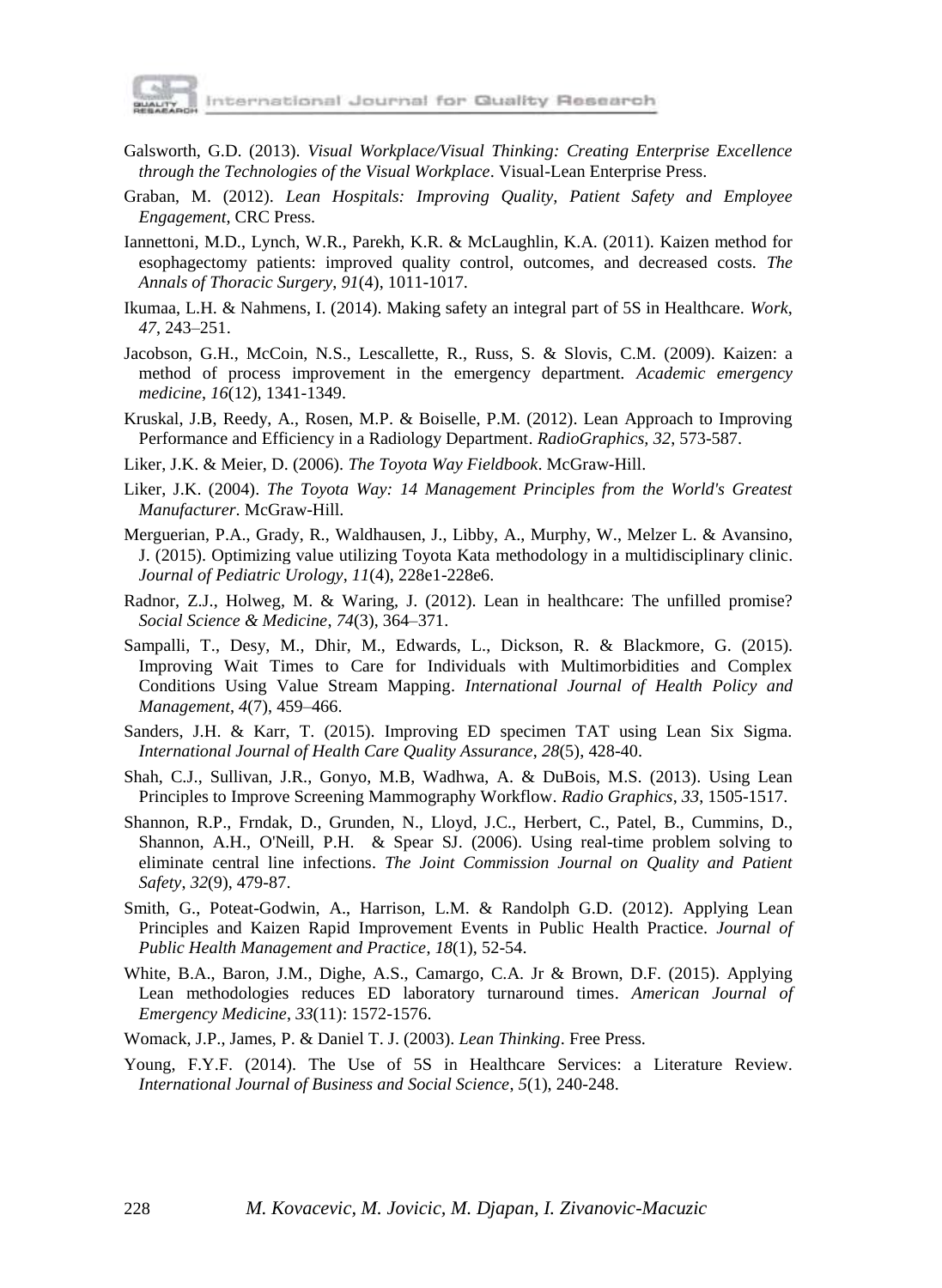

- [Galsworth,](http://www.amazon.com/Gwendolyn-D.-Galsworth/e/B001K7UIH2/ref=dp_byline_cont_book_1) G.D. (2013). *Visual Workplace/Visual Thinking: Creating Enterprise Excellence through the Technologies of the Visual Workplace*. Visual-Lean Enterprise Press.
- Graban, M. (2012). *Lean Hospitals: Improving Quality, Patient Safety and Employee Engagement*, CRC Press.
- Iannettoni, M.D., Lynch, W.R., Parekh, K.R. & McLaughlin, K.A. (2011). Kaizen method for esophagectomy patients: improved quality control, outcomes, and decreased costs. *The Annals of Thoracic Surgery*, *91*(4), 1011-1017.
- Ikumaa, L.H. & Nahmens, I. (2014). Making safety an integral part of 5S in Healthcare. *Work*, *47*, 243–251.
- Jacobson, G.H., McCoin, N.S., Lescallette, R., Russ, S. & Slovis, C.M. (2009). Kaizen: a method of process improvement in the emergency department. *Academic emergency medicine*, *16*(12), 1341-1349.
- Kruskal, J.B, Reedy, A., Rosen, M.P. & Boiselle, P.M. (2012). Lean Approach to Improving Performance and Efficiency in a Radiology Department. *RadioGraphics, 32*, 573-587.
- Liker, J.K. & Meier, D. (2006). *The Toyota Way Fieldbook*. McGraw-Hill.
- Liker, J.K. (2004). *The Toyota Way: 14 Management Principles from the World's Greatest Manufacturer*. McGraw-Hill.
- [Merguerian,](http://www.ncbi.nlm.nih.gov/pubmed/?term=Merguerian%20PA%5bAuthor%5d&cauthor=true&cauthor_uid=26169487) P.A., [Grady,](http://www.ncbi.nlm.nih.gov/pubmed/?term=Grady%20R%5bAuthor%5d&cauthor=true&cauthor_uid=26169487) R., [Waldhausen,](http://www.ncbi.nlm.nih.gov/pubmed/?term=Waldhausen%20J%5bAuthor%5d&cauthor=true&cauthor_uid=26169487) J., [Libby,](http://www.ncbi.nlm.nih.gov/pubmed/?term=Libby%20A%5bAuthor%5d&cauthor=true&cauthor_uid=26169487) A., [Murphy,](http://www.ncbi.nlm.nih.gov/pubmed/?term=Murphy%20W%5bAuthor%5d&cauthor=true&cauthor_uid=26169487) W., [Melzer L.](http://www.ncbi.nlm.nih.gov/pubmed/?term=Melzer%20L%5bAuthor%5d&cauthor=true&cauthor_uid=26169487) & [Avansino,](http://www.ncbi.nlm.nih.gov/pubmed/?term=Avansino%20J%5bAuthor%5d&cauthor=true&cauthor_uid=26169487)  [J.](http://www.ncbi.nlm.nih.gov/pubmed/?term=Avansino%20J%5bAuthor%5d&cauthor=true&cauthor_uid=26169487) (2015). Optimizing value utilizing Toyota Kata methodology in a multidisciplinary clinic. *[Journal of](http://www.ncbi.nlm.nih.gov/pubmed/26169487) Pediatric Urology*, *11*(4), 228e1-228e6.
- Radnor, Z.J., Holweg, M. & Waring, J. (2012). Lean in healthcare: The unfilled promise? *Social Science & Medicine*, *74*(3), 364–371.
- [Sampalli,](http://www.ijhpm.com/?_action=article&au=16442&_au=Tara++Sampalli) T., [Desy,](http://www.ijhpm.com/?_action=article&au=17456&_au=Michel++Desy) M., [Dhir,](http://www.ijhpm.com/?_action=article&au=17455&_au=Minakshi++Dhir) M., [Edwards,](http://www.ijhpm.com/?_action=article&au=17454&_au=Lynn++Edwards) L., [Dickson,](http://www.ijhpm.com/?_action=article&au=17457&_au=Robert++Dickson) R. & [Blackmore,](http://www.ijhpm.com/?_action=article&au=17453&_au=Gail++Blackmore) G. (2015). Improving Wait Times to Care for Individuals with Multimorbidities and Complex Conditions Using Value Stream Mapping. *International Journal of Health Policy and Management*, *4*(7), 459–466.
- [Sanders,](http://www.ncbi.nlm.nih.gov/pubmed/?term=Sanders%20JH%5BAuthor%5D&cauthor=true&cauthor_uid=26020426) J.H. & [Karr,](http://www.ncbi.nlm.nih.gov/pubmed/?term=Karr%20T%5BAuthor%5D&cauthor=true&cauthor_uid=26020426) T. (2015). Improving ED specimen TAT using Lean Six Sigma. *International Journal of Health Care Quality Assurance*, *28*(5), 428-40.
- Shah, C.J., Sullivan, J.R., Gonyo, M.B, Wadhwa, A. & DuBois, M.S. (2013). Using Lean Principles to Improve Screening Mammography Workflow. *Radio Graphics*, *33*, 1505-1517.
- Shannon, R.P., Frndak, D., Grunden, N., Lloyd, J.C., Herbert, C., Patel, B., Cummins, D., Shannon, A.H., O'Neill, P.H. & Spear SJ. (2006). Using real-time problem solving to eliminate central line infections. *[The Joint Commission Journal on Quality and Patient](http://www.jointcommissioninternational.org/the-joint-commission-journal-on-quality-and-patient-safety-jci/)  [Safety](http://www.jointcommissioninternational.org/the-joint-commission-journal-on-quality-and-patient-safety-jci/)*, *32*(9), 479-87.
- Smith, G., Poteat-Godwin, A., Harrison, L.M. & Randolph G.D. (2012). Applying Lean Principles and Kaizen Rapid Improvement Events in Public Health Practice. *Journal of Public Health Management and Practice*, *18*(1), 52-54.
- White, B.A., Baron, J.M., Dighe, A.S., Camargo, C.A. Jr & Brown, D.F. (2015). Applying Lean methodologies reduces ED laboratory turnaround times. *American Journal of Emergency Medicine*, *33*(11): 1572-1576.
- Womack, [J.P., James,](https://en.wikipedia.org/wiki/James_P._Womack) P. & Daniel T. J. (2003). *Lean Thinking*. Free Press.
- Young, F.Y.F. (2014). The Use of 5S in Healthcare Services: a Literature Review. *International Journal of Business and Social Science*, *5*(1), 240-248.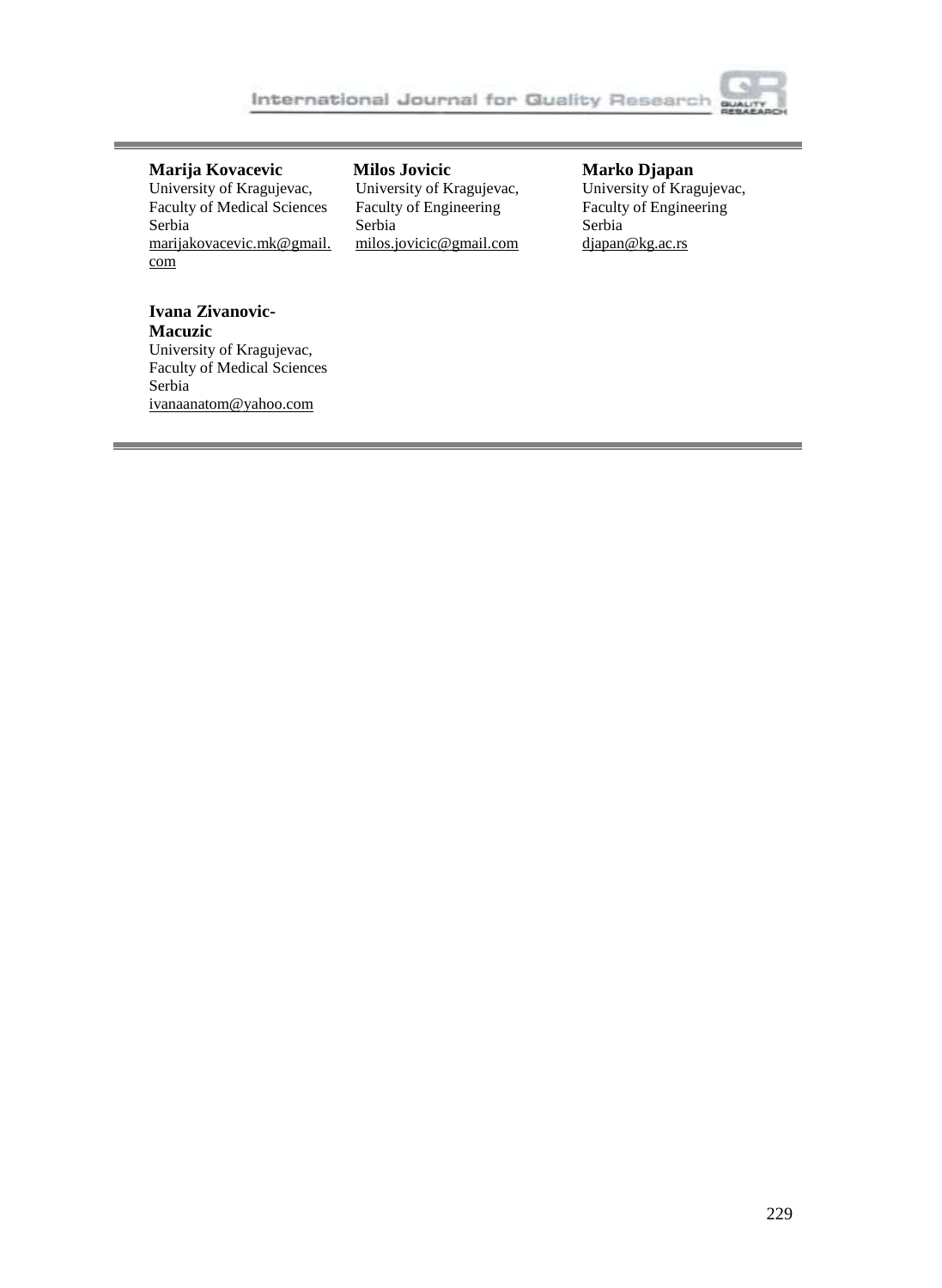

#### **Marija Kovacevic**

University of Kragujevac, Faculty of Medical Sciences Serbia [marijakovacevic.mk@gmail.](mailto:birhanu.beshah@aait.edu.et) [com](mailto:birhanu.beshah@aait.edu.et)

**Milos Jovicic** University of Kragujevac, Faculty of Engineering Serbia [milos.jovicic@gmail.com](mailto:milos.jovicic@gmail.com)

#### **Marko Djapan**

University of Kragujevac, Faculty of Engineering Serbia [djapan@kg.ac.rs](mailto:birhanu.beshah@aait.edu.et)

# **Ivana Zivanovic-**

**Macuzic** University of Kragujevac, Faculty of Medical Sciences Serbia [ivanaanatom@yahoo.com](mailto:birhanu.beshah@aait.edu.et)